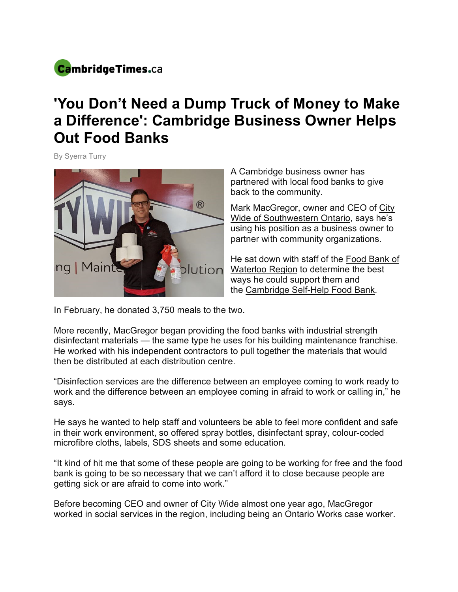

## **'You Don't Need a Dump Truck of Money to Make a Difference': Cambridge Business Owner Helps Out Food Banks**

By Syerra Turry



A Cambridge business owner has partnered with local food banks to give back to the community.

Mark MacGregor, owner and CEO of City Wide of Southwestern Ontario, says he's using his position as a business owner to partner with community organizations.

He sat down with staff of the Food Bank of Waterloo Region to determine the best ways he could support them and the Cambridge Self-Help Food Bank.

In February, he donated 3,750 meals to the two.

More recently, MacGregor began providing the food banks with industrial strength disinfectant materials — the same type he uses for his building maintenance franchise. He worked with his independent contractors to pull together the materials that would then be distributed at each distribution centre.

"Disinfection services are the difference between an employee coming to work ready to work and the difference between an employee coming in afraid to work or calling in," he says.

He says he wanted to help staff and volunteers be able to feel more confident and safe in their work environment, so offered spray bottles, disinfectant spray, colour-coded microfibre cloths, labels, SDS sheets and some education.

"It kind of hit me that some of these people are going to be working for free and the food bank is going to be so necessary that we can't afford it to close because people are getting sick or are afraid to come into work."

Before becoming CEO and owner of City Wide almost one year ago, MacGregor worked in social services in the region, including being an Ontario Works case worker.